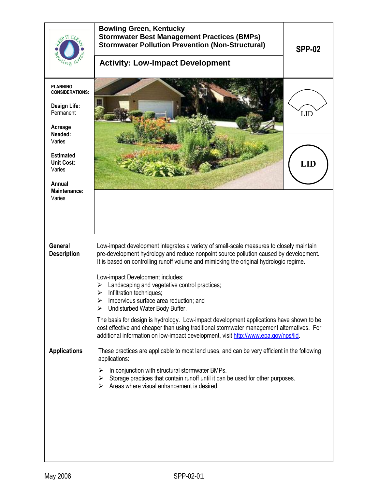|                                                                                                                                                                  | <b>Bowling Green, Kentucky</b><br><b>Stormwater Best Management Practices (BMPs)</b><br><b>Stormwater Pollution Prevention (Non-Structural)</b><br><b>Activity: Low-Impact Development</b>                                                                                                                                                                                                                                                                                                                                                                                                                                                                                                                                                                            | <b>SPP-02</b> |
|------------------------------------------------------------------------------------------------------------------------------------------------------------------|-----------------------------------------------------------------------------------------------------------------------------------------------------------------------------------------------------------------------------------------------------------------------------------------------------------------------------------------------------------------------------------------------------------------------------------------------------------------------------------------------------------------------------------------------------------------------------------------------------------------------------------------------------------------------------------------------------------------------------------------------------------------------|---------------|
| <b>PLANNING</b><br><b>CONSIDERATIONS:</b><br><b>Design Life:</b><br>Permanent<br>Acreage<br>Needed:<br>Varies<br><b>Estimated</b><br><b>Unit Cost:</b><br>Varies |                                                                                                                                                                                                                                                                                                                                                                                                                                                                                                                                                                                                                                                                                                                                                                       | <b>LID</b>    |
| Annual<br>Maintenance:<br>Varies                                                                                                                                 |                                                                                                                                                                                                                                                                                                                                                                                                                                                                                                                                                                                                                                                                                                                                                                       |               |
| <b>General</b><br><b>Description</b>                                                                                                                             | Low-impact development integrates a variety of small-scale measures to closely maintain<br>pre-development hydrology and reduce nonpoint source pollution caused by development.<br>It is based on controlling runoff volume and mimicking the original hydrologic regime.<br>Low-impact Development includes:<br>Landscaping and vegetative control practices;<br>⋗<br>Infiltration techniques;<br>Impervious surface area reduction; and<br>➤<br>Undisturbed Water Body Buffer.<br>⋗<br>The basis for design is hydrology. Low-impact development applications have shown to be<br>cost effective and cheaper than using traditional stormwater management alternatives. For<br>additional information on low-impact development, visit http://www.epa.gov/nps/lid. |               |
| <b>Applications</b>                                                                                                                                              | These practices are applicable to most land uses, and can be very efficient in the following<br>applications:<br>In conjunction with structural stormwater BMPs.<br>≻<br>Storage practices that contain runoff until it can be used for other purposes.<br>➤<br>Areas where visual enhancement is desired.<br>➤                                                                                                                                                                                                                                                                                                                                                                                                                                                       |               |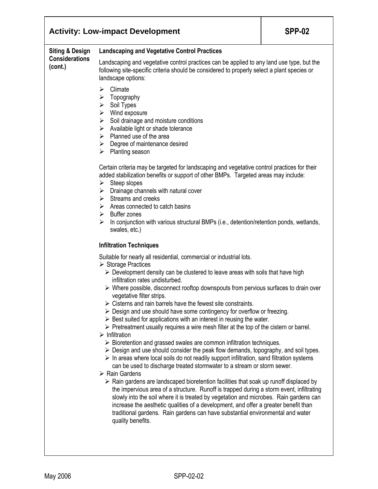|                                                                | <b>Activity: Low-impact Development</b>                                                                                                                                                                                                                                                                                                                                                                                                                                                                                                                                                                                                                                                                                                                                                                                                                                                                                                                                                                                                                                                                                                                                                                                                                                                                                                                                                                                                                                                                                                                                                                                                                                                                           | <b>SPP-02</b> |
|----------------------------------------------------------------|-------------------------------------------------------------------------------------------------------------------------------------------------------------------------------------------------------------------------------------------------------------------------------------------------------------------------------------------------------------------------------------------------------------------------------------------------------------------------------------------------------------------------------------------------------------------------------------------------------------------------------------------------------------------------------------------------------------------------------------------------------------------------------------------------------------------------------------------------------------------------------------------------------------------------------------------------------------------------------------------------------------------------------------------------------------------------------------------------------------------------------------------------------------------------------------------------------------------------------------------------------------------------------------------------------------------------------------------------------------------------------------------------------------------------------------------------------------------------------------------------------------------------------------------------------------------------------------------------------------------------------------------------------------------------------------------------------------------|---------------|
| <b>Siting &amp; Design</b><br><b>Considerations</b><br>(cont.) | <b>Landscaping and Vegetative Control Practices</b>                                                                                                                                                                                                                                                                                                                                                                                                                                                                                                                                                                                                                                                                                                                                                                                                                                                                                                                                                                                                                                                                                                                                                                                                                                                                                                                                                                                                                                                                                                                                                                                                                                                               |               |
|                                                                | Landscaping and vegetative control practices can be applied to any land use type, but the<br>following site-specific criteria should be considered to properly select a plant species or<br>landscape options:                                                                                                                                                                                                                                                                                                                                                                                                                                                                                                                                                                                                                                                                                                                                                                                                                                                                                                                                                                                                                                                                                                                                                                                                                                                                                                                                                                                                                                                                                                    |               |
|                                                                | Climate<br>⋗<br>Topography<br>➤<br>$\triangleright$ Soil Types<br>$\triangleright$ Wind exposure<br>$\triangleright$ Soil drainage and moisture conditions<br>$\triangleright$ Available light or shade tolerance<br>$\triangleright$ Planned use of the area<br>$\triangleright$ Degree of maintenance desired<br>Planting season<br>➤                                                                                                                                                                                                                                                                                                                                                                                                                                                                                                                                                                                                                                                                                                                                                                                                                                                                                                                                                                                                                                                                                                                                                                                                                                                                                                                                                                           |               |
|                                                                | Certain criteria may be targeted for landscaping and vegetative control practices for their<br>added stabilization benefits or support of other BMPs. Targeted areas may include:<br>Steep slopes<br>≻<br>$\triangleright$ Drainage channels with natural cover<br>$\triangleright$ Streams and creeks<br>$\triangleright$ Areas connected to catch basins<br>$\triangleright$ Buffer zones<br>In conjunction with various structural BMPs (i.e., detention/retention ponds, wetlands,<br>⋗<br>swales, etc.)                                                                                                                                                                                                                                                                                                                                                                                                                                                                                                                                                                                                                                                                                                                                                                                                                                                                                                                                                                                                                                                                                                                                                                                                      |               |
|                                                                | <b>Infiltration Techniques</b>                                                                                                                                                                                                                                                                                                                                                                                                                                                                                                                                                                                                                                                                                                                                                                                                                                                                                                                                                                                                                                                                                                                                                                                                                                                                                                                                                                                                                                                                                                                                                                                                                                                                                    |               |
|                                                                | Suitable for nearly all residential, commercial or industrial lots.<br>$\triangleright$ Storage Practices<br>$\triangleright$ Development density can be clustered to leave areas with soils that have high<br>infiltration rates undisturbed.<br>$\triangleright$ Where possible, disconnect rooftop downspouts from pervious surfaces to drain over<br>vegetative filter strips.<br>$\triangleright$ Cisterns and rain barrels have the fewest site constraints.<br>$\triangleright$ Design and use should have some contingency for overflow or freezing.<br>$\triangleright$ Best suited for applications with an interest in reusing the water.<br>$\triangleright$ Pretreatment usually requires a wire mesh filter at the top of the cistern or barrel.<br>$\triangleright$ Infiltration<br>$\triangleright$ Bioretention and grassed swales are common infiltration techniques.<br>$\triangleright$ Design and use should consider the peak flow demands, topography, and soil types.<br>$\triangleright$ In areas where local soils do not readily support infiltration, sand filtration systems<br>can be used to discharge treated stormwater to a stream or storm sewer.<br>$\triangleright$ Rain Gardens<br>$\triangleright$ Rain gardens are landscaped bioretention facilities that soak up runoff displaced by<br>the impervious area of a structure. Runoff is trapped during a storm event, infiltrating<br>slowly into the soil where it is treated by vegetation and microbes. Rain gardens can<br>increase the aesthetic qualities of a development, and offer a greater benefit than<br>traditional gardens. Rain gardens can have substantial environmental and water<br>quality benefits. |               |
|                                                                |                                                                                                                                                                                                                                                                                                                                                                                                                                                                                                                                                                                                                                                                                                                                                                                                                                                                                                                                                                                                                                                                                                                                                                                                                                                                                                                                                                                                                                                                                                                                                                                                                                                                                                                   |               |

٦

Τ

ľ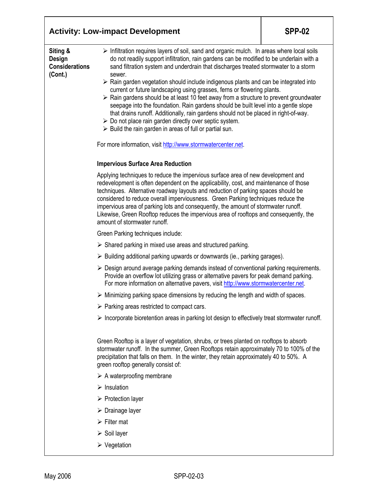|                                                               | <b>Activity: Low-impact Development</b>                                                                                                                                                                                                                                                                                                                                                                                                                                                                                                                           | <b>SPP-02</b>                                                                                                                                                                                                                                                                                                                                                                                                                                                                                                                                                                                                                                                                                                                                           |  |  |
|---------------------------------------------------------------|-------------------------------------------------------------------------------------------------------------------------------------------------------------------------------------------------------------------------------------------------------------------------------------------------------------------------------------------------------------------------------------------------------------------------------------------------------------------------------------------------------------------------------------------------------------------|---------------------------------------------------------------------------------------------------------------------------------------------------------------------------------------------------------------------------------------------------------------------------------------------------------------------------------------------------------------------------------------------------------------------------------------------------------------------------------------------------------------------------------------------------------------------------------------------------------------------------------------------------------------------------------------------------------------------------------------------------------|--|--|
| Siting &<br><b>Design</b><br><b>Considerations</b><br>(Cont.) | sewer.<br>$\triangleright$ Do not place rain garden directly over septic system.<br>$\triangleright$ Build the rain garden in areas of full or partial sun.                                                                                                                                                                                                                                                                                                                                                                                                       | > Infiltration requires layers of soil, sand and organic mulch. In areas where local soils<br>do not readily support infiltration, rain gardens can be modified to be underlain with a<br>sand filtration system and underdrain that discharges treated stormwater to a storm<br>$\triangleright$ Rain garden vegetation should include indigenous plants and can be integrated into<br>current or future landscaping using grasses, ferns or flowering plants.<br>$\triangleright$ Rain gardens should be at least 10 feet away from a structure to prevent groundwater<br>seepage into the foundation. Rain gardens should be built level into a gentle slope<br>that drains runoff. Additionally, rain gardens should not be placed in right-of-way. |  |  |
|                                                               | For more information, visit http://www.stormwatercenter.net.                                                                                                                                                                                                                                                                                                                                                                                                                                                                                                      |                                                                                                                                                                                                                                                                                                                                                                                                                                                                                                                                                                                                                                                                                                                                                         |  |  |
|                                                               | <b>Impervious Surface Area Reduction</b>                                                                                                                                                                                                                                                                                                                                                                                                                                                                                                                          |                                                                                                                                                                                                                                                                                                                                                                                                                                                                                                                                                                                                                                                                                                                                                         |  |  |
|                                                               | Applying techniques to reduce the impervious surface area of new development and<br>redevelopment is often dependent on the applicability, cost, and maintenance of those<br>techniques. Alternative roadway layouts and reduction of parking spaces should be<br>considered to reduce overall imperviousness. Green Parking techniques reduce the<br>impervious area of parking lots and consequently, the amount of stormwater runoff.<br>Likewise, Green Rooftop reduces the impervious area of rooftops and consequently, the<br>amount of stormwater runoff. |                                                                                                                                                                                                                                                                                                                                                                                                                                                                                                                                                                                                                                                                                                                                                         |  |  |
|                                                               | Green Parking techniques include:                                                                                                                                                                                                                                                                                                                                                                                                                                                                                                                                 |                                                                                                                                                                                                                                                                                                                                                                                                                                                                                                                                                                                                                                                                                                                                                         |  |  |
|                                                               | $\triangleright$ Shared parking in mixed use areas and structured parking.                                                                                                                                                                                                                                                                                                                                                                                                                                                                                        |                                                                                                                                                                                                                                                                                                                                                                                                                                                                                                                                                                                                                                                                                                                                                         |  |  |
|                                                               | $\triangleright$ Building additional parking upwards or downwards (ie., parking garages).                                                                                                                                                                                                                                                                                                                                                                                                                                                                         |                                                                                                                                                                                                                                                                                                                                                                                                                                                                                                                                                                                                                                                                                                                                                         |  |  |
|                                                               | $\triangleright$ Design around average parking demands instead of conventional parking requirements.<br>Provide an overflow lot utilizing grass or alternative pavers for peak demand parking.<br>For more information on alternative pavers, visit http://www.stormwatercenter.net.                                                                                                                                                                                                                                                                              |                                                                                                                                                                                                                                                                                                                                                                                                                                                                                                                                                                                                                                                                                                                                                         |  |  |
|                                                               | $\triangleright$ Minimizing parking space dimensions by reducing the length and width of spaces.                                                                                                                                                                                                                                                                                                                                                                                                                                                                  |                                                                                                                                                                                                                                                                                                                                                                                                                                                                                                                                                                                                                                                                                                                                                         |  |  |
|                                                               | $\triangleright$ Parking areas restricted to compact cars.                                                                                                                                                                                                                                                                                                                                                                                                                                                                                                        |                                                                                                                                                                                                                                                                                                                                                                                                                                                                                                                                                                                                                                                                                                                                                         |  |  |
|                                                               | $\triangleright$ Incorporate bioretention areas in parking lot design to effectively treat stormwater runoff.                                                                                                                                                                                                                                                                                                                                                                                                                                                     |                                                                                                                                                                                                                                                                                                                                                                                                                                                                                                                                                                                                                                                                                                                                                         |  |  |
|                                                               | Green Rooftop is a layer of vegetation, shrubs, or trees planted on rooftops to absorb<br>stormwater runoff. In the summer, Green Rooftops retain approximately 70 to 100% of the<br>precipitation that falls on them. In the winter, they retain approximately 40 to 50%. A<br>green rooftop generally consist of:                                                                                                                                                                                                                                               |                                                                                                                                                                                                                                                                                                                                                                                                                                                                                                                                                                                                                                                                                                                                                         |  |  |
|                                                               | $\triangleright$ A waterproofing membrane                                                                                                                                                                                                                                                                                                                                                                                                                                                                                                                         |                                                                                                                                                                                                                                                                                                                                                                                                                                                                                                                                                                                                                                                                                                                                                         |  |  |
|                                                               | $\triangleright$ Insulation                                                                                                                                                                                                                                                                                                                                                                                                                                                                                                                                       |                                                                                                                                                                                                                                                                                                                                                                                                                                                                                                                                                                                                                                                                                                                                                         |  |  |
|                                                               | $\triangleright$ Protection layer                                                                                                                                                                                                                                                                                                                                                                                                                                                                                                                                 |                                                                                                                                                                                                                                                                                                                                                                                                                                                                                                                                                                                                                                                                                                                                                         |  |  |
|                                                               | $\triangleright$ Drainage layer                                                                                                                                                                                                                                                                                                                                                                                                                                                                                                                                   |                                                                                                                                                                                                                                                                                                                                                                                                                                                                                                                                                                                                                                                                                                                                                         |  |  |
|                                                               | $\triangleright$ Filter mat                                                                                                                                                                                                                                                                                                                                                                                                                                                                                                                                       |                                                                                                                                                                                                                                                                                                                                                                                                                                                                                                                                                                                                                                                                                                                                                         |  |  |
|                                                               | $\triangleright$ Soil layer                                                                                                                                                                                                                                                                                                                                                                                                                                                                                                                                       |                                                                                                                                                                                                                                                                                                                                                                                                                                                                                                                                                                                                                                                                                                                                                         |  |  |
|                                                               | $\triangleright$ Vegetation                                                                                                                                                                                                                                                                                                                                                                                                                                                                                                                                       |                                                                                                                                                                                                                                                                                                                                                                                                                                                                                                                                                                                                                                                                                                                                                         |  |  |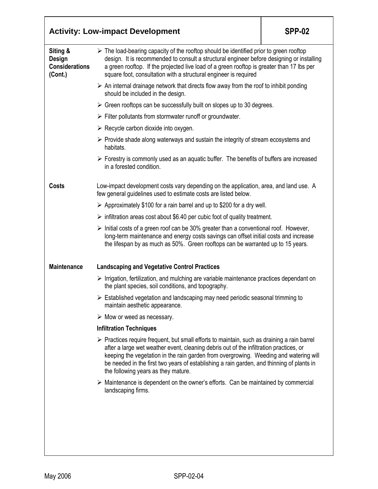|                                                               | <b>Activity: Low-impact Development</b>                                                                                                                                                                                                                                                                                                                                                                                           | <b>SPP-02</b> |
|---------------------------------------------------------------|-----------------------------------------------------------------------------------------------------------------------------------------------------------------------------------------------------------------------------------------------------------------------------------------------------------------------------------------------------------------------------------------------------------------------------------|---------------|
| Siting &<br><b>Design</b><br><b>Considerations</b><br>(Cont.) | $\triangleright$ The load-bearing capacity of the rooftop should be identified prior to green rooftop<br>design. It is recommended to consult a structural engineer before designing or installing<br>a green rooftop. If the projected live load of a green rooftop is greater than 17 lbs per<br>square foot, consultation with a structural engineer is required                                                               |               |
|                                                               | $\triangleright$ An internal drainage network that directs flow away from the roof to inhibit ponding<br>should be included in the design.                                                                                                                                                                                                                                                                                        |               |
|                                                               | $\triangleright$ Green rooftops can be successfully built on slopes up to 30 degrees.                                                                                                                                                                                                                                                                                                                                             |               |
|                                                               | $\triangleright$ Filter pollutants from stormwater runoff or groundwater.                                                                                                                                                                                                                                                                                                                                                         |               |
|                                                               | $\triangleright$ Recycle carbon dioxide into oxygen.                                                                                                                                                                                                                                                                                                                                                                              |               |
|                                                               | $\triangleright$ Provide shade along waterways and sustain the integrity of stream ecosystems and<br>habitats.                                                                                                                                                                                                                                                                                                                    |               |
|                                                               | $\triangleright$ Forestry is commonly used as an aquatic buffer. The benefits of buffers are increased<br>in a forested condition.                                                                                                                                                                                                                                                                                                |               |
| <b>Costs</b>                                                  | Low-impact development costs vary depending on the application, area, and land use. A<br>few general guidelines used to estimate costs are listed below.                                                                                                                                                                                                                                                                          |               |
|                                                               | $\triangleright$ Approximately \$100 for a rain barrel and up to \$200 for a dry well.                                                                                                                                                                                                                                                                                                                                            |               |
|                                                               | $\triangleright$ infiltration areas cost about \$6.40 per cubic foot of quality treatment.                                                                                                                                                                                                                                                                                                                                        |               |
|                                                               | $\triangleright$ Initial costs of a green roof can be 30% greater than a conventional roof. However,<br>long-term maintenance and energy costs savings can offset initial costs and increase<br>the lifespan by as much as 50%. Green rooftops can be warranted up to 15 years.                                                                                                                                                   |               |
| <b>Maintenance</b>                                            | <b>Landscaping and Vegetative Control Practices</b>                                                                                                                                                                                                                                                                                                                                                                               |               |
|                                                               | $\triangleright$ Irrigation, fertilization, and mulching are variable maintenance practices dependant on<br>the plant species, soil conditions, and topography.                                                                                                                                                                                                                                                                   |               |
|                                                               | $\triangleright$ Established vegetation and landscaping may need periodic seasonal trimming to<br>maintain aesthetic appearance.                                                                                                                                                                                                                                                                                                  |               |
|                                                               | $\triangleright$ Mow or weed as necessary.                                                                                                                                                                                                                                                                                                                                                                                        |               |
|                                                               | <b>Infiltration Techniques</b>                                                                                                                                                                                                                                                                                                                                                                                                    |               |
|                                                               | $\triangleright$ Practices require frequent, but small efforts to maintain, such as draining a rain barrel<br>after a large wet weather event, cleaning debris out of the infiltration practices, or<br>keeping the vegetation in the rain garden from overgrowing. Weeding and watering will<br>be needed in the first two years of establishing a rain garden, and thinning of plants in<br>the following years as they mature. |               |
|                                                               | $\triangleright$ Maintenance is dependent on the owner's efforts. Can be maintained by commercial<br>landscaping firms.                                                                                                                                                                                                                                                                                                           |               |
|                                                               |                                                                                                                                                                                                                                                                                                                                                                                                                                   |               |